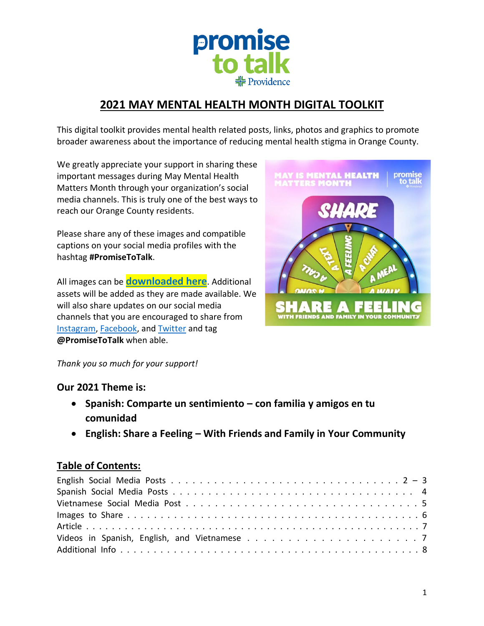

# **2021 MAY MENTAL HEALTH MONTH DIGITAL TOOLKIT**

This digital toolkit provides mental health related posts, links, photos and graphics to promote broader awareness about the importance of reducing mental health stigma in Orange County.

We greatly appreciate your support in sharing these important messages during May Mental Health Matters Month through your organization's social media channels. This is truly one of the best ways to reach our Orange County residents.

Please share any of these images and compatible captions on your social media profiles with the hashtag **#PromiseToTalk**.

All images can be **[downloaded here](https://f224d5ec-959e-4842-8529-fc805ad7662d.filesusr.com/archives/dba8ab_d15c37dfb8a245f7b713108e0c2671ff.zip?dn=Social%20Media%20Images.zip)**. Additional assets will be added as they are made available. We will also share updates on our social media channels that you are encouraged to share from [Instagram,](https://www.instagram.com/promisetotalk/) [Facebook,](https://www.facebook.com/PromiseToTalk) and [Twitter](https://twitter.com/PromiseToTalk) and tag **@PromiseToTalk** when able.



*Thank you so much for your support!* 

### **Our 2021 Theme is:**

- **Spanish: Comparte un sentimiento – con familia y amigos en tu comunidad**
- **English: Share a Feeling – With Friends and Family in Your Community**

### **Table of Contents:**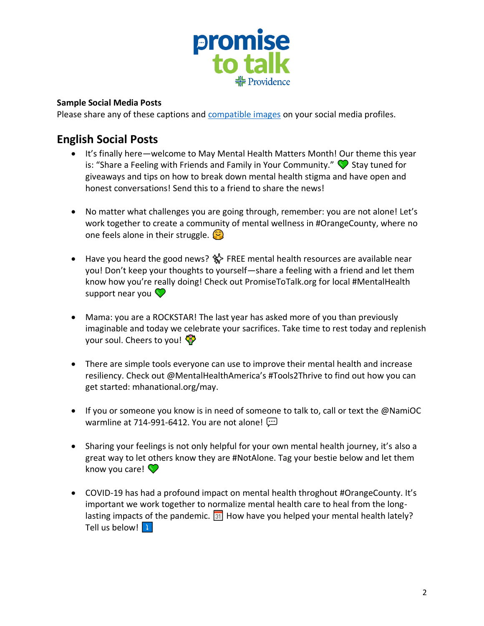

### **Sample Social Media Posts**

Please share any of these captions and [compatible images](https://f224d5ec-959e-4842-8529-fc805ad7662d.filesusr.com/archives/dba8ab_d15c37dfb8a245f7b713108e0c2671ff.zip?dn=Social%20Media%20Images.zip) on your social media profiles.

# **English Social Posts**

- It's finally here—welcome to May Mental Health Matters Month! Our theme this year is: "Share a Feeling with Friends and Family in Your Community."  $\bigcirc$  Stay tuned for giveaways and tips on how to break down mental health stigma and have open and honest conversations! Send this to a friend to share the news!
- No matter what challenges you are going through, remember: you are not alone! Let's work together to create a community of mental wellness in #OrangeCounty, where no one feels alone in their struggle.  $\circled{c}$
- Have you heard the good news? 《 FREE mental health resources are available near you! Don't keep your thoughts to yourself—share a feeling with a friend and let them know how you're really doing! Check out PromiseToTalk.org for local #MentalHealth support near you  $\heartsuit$
- Mama: you are a ROCKSTAR! The last year has asked more of you than previously imaginable and today we celebrate your sacrifices. Take time to rest today and replenish your soul. Cheers to you!
- There are simple tools everyone can use to improve their mental health and increase resiliency. Check out @MentalHealthAmerica's #Tools2Thrive to find out how you can get started: mhanational.org/may.
- If you or someone you know is in need of someone to talk to, call or text the @NamiOC warmline at 714-991-6412. You are not alone!
- Sharing your feelings is not only helpful for your own mental health journey, it's also a great way to let others know they are #NotAlone. Tag your bestie below and let them know you care!  $\heartsuit$
- COVID-19 has had a profound impact on mental health throghout #OrangeCounty. It's important we work together to normalize mental health care to heal from the longlasting impacts of the pandemic.  $\boxed{31}$  How have you helped your mental health lately? Tell us below! | |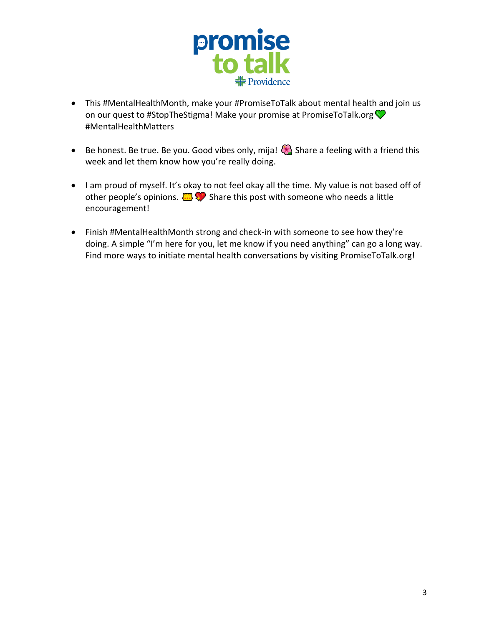

- This #MentalHealthMonth, make your #PromiseToTalk about mental health and join us on our quest to #StopTheStigma! Make your promise at PromiseToTalk.org #MentalHealthMatters
- Be honest. Be true. Be you. Good vibes only, mija!  $\bigodot$  Share a feeling with a friend this week and let them know how you're really doing.
- I am proud of myself. It's okay to not feel okay all the time. My value is not based off of other people's opinions.  $\Box$   $\Diamond$  Share this post with someone who needs a little encouragement!
- Finish #MentalHealthMonth strong and check-in with someone to see how they're doing. A simple "I'm here for you, let me know if you need anything" can go a long way. Find more ways to initiate mental health conversations by visiting PromiseToTalk.org!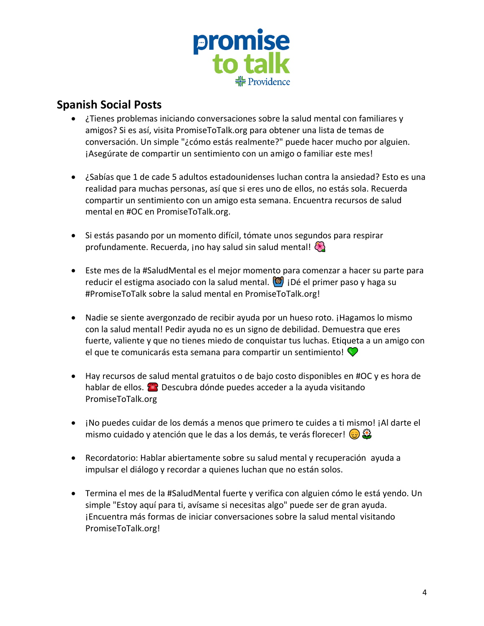

## **Spanish Social Posts**

- ¿Tienes problemas iniciando conversaciones sobre la salud mental con familiares y amigos? Si es así, visita PromiseToTalk.org para obtener una lista de temas de conversación. Un simple "¿cómo estás realmente?" puede hacer mucho por alguien. ¡Asegúrate de compartir un sentimiento con un amigo o familiar este mes!
- ¿Sabías que 1 de cade 5 adultos estadounidenses luchan contra la ansiedad? Esto es una realidad para muchas personas, así que si eres uno de ellos, no estás sola. Recuerda compartir un sentimiento con un amigo esta semana. Encuentra recursos de salud mental en #OC en PromiseToTalk.org.
- Si estás pasando por un momento difícil, tómate unos segundos para respirar profundamente. Recuerda, ino hay salud sin salud mental!
- Este mes de la #SaludMental es el mejor momento para comenzar a hacer su parte para reducir el estigma asociado con la salud mental.  $\left(\bullet\right)$  i Dé el primer paso y haga su #PromiseToTalk sobre la salud mental en PromiseToTalk.org!
- Nadie se siente avergonzado de recibir ayuda por un hueso roto. ¡Hagamos lo mismo con la salud mental! Pedir ayuda no es un signo de debilidad. Demuestra que eres fuerte, valiente y que no tienes miedo de conquistar tus luchas. Etiqueta a un amigo con el que te comunicarás esta semana para compartir un sentimiento!  $\bigcirc$
- Hay recursos de salud mental gratuitos o de bajo costo disponibles en #OC y es hora de hablar de ellos. **En Descubra dónde puedes acceder a la ayuda visitando** PromiseToTalk.org
- ¡No puedes cuidar de los demás a menos que primero te cuides a ti mismo! ¡Al darte el mismo cuidado y atención que le das a los demás, te verás florecer!  $\bigcirc$   $\mathbb{S}$
- Recordatorio: Hablar abiertamente sobre su salud mental y recuperación ayuda a impulsar el diálogo y recordar a quienes luchan que no están solos.
- Termina el mes de la #SaludMental fuerte y verifica con alguien cómo le está yendo. Un simple "Estoy aquí para ti, avísame si necesitas algo" puede ser de gran ayuda. ¡Encuentra más formas de iniciar conversaciones sobre la salud mental visitando PromiseToTalk.org!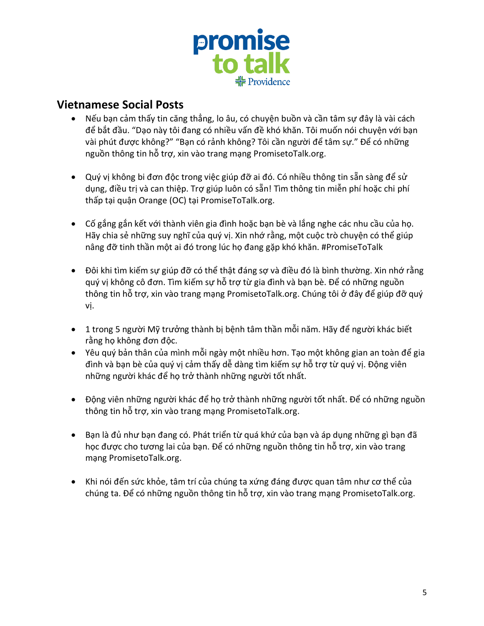

## **Vietnamese Social Posts**

- Nếu bạn cảm thấy tin căng thẳng, lo âu, có chuyện buồn và cần tâm sự đây là vài cách để bắt đầu. "Dạo này tôi đang có nhiều vấn đề khó khăn. Tôi muốn nói chuyện với bạn vài phút được không?" "Bạn có rảnh không? Tôi cần người để tâm sự." Để có những nguồn thông tin hỗ trợ, xin vào trang mạng PromisetoTalk.org.
- Quý vị không bi đơn độc trong việc giúp đỡ ai đó. Có nhiều thông tin sẵn sàng để sử dụng, điều trị và can thiệp. Trợ giúp luôn có sẵn! Tìm thông tin miễn phí hoặc chi phí thấp tại quận Orange (OC) tại PromiseToTalk.org.
- Cố gắng gắn kết với thành viên gia đình hoặc bạn bè và lắng nghe các nhu cầu của họ. Hãy chia sẻ những suy nghĩ của quý vị. Xin nhớ rằng, một cuộc trò chuyện có thể giúp nâng đỡ tinh thần một ai đó trong lúc họ đang gặp khó khăn. #PromiseToTalk
- Đôi khi tìm kiếm sự giúp đỡ có thể thật đáng sợ và điều đó là bình thường. Xin nhớ rằng quý vị không cô đơn. Tìm kiếm sự hỗ trợ từ gia đình và bạn bè. Để có những nguồn thông tin hỗ trợ, xin vào trang mạng PromisetoTalk.org. Chúng tôi ở đây để giúp đỡ quý vị.
- 1 trong 5 người Mỹ trưởng thành bị bệnh tâm thần mỗi năm. Hãy để người khác biết rằng họ không đơn độc.
- Yêu quý bản thân của mình mỗi ngày một nhiều hơn. Tạo một không gian an toàn để gia đình và bạn bè của quý vị cảm thấy dễ dàng tìm kiếm sự hỗ trợ từ quý vị. Động viên những người khác để họ trở thành những người tốt nhất.
- Động viên những người khác để họ trở thành những người tốt nhất. Để có những nguồn thông tin hỗ trợ, xin vào trang mạng PromisetoTalk.org.
- Bạn là đủ như bạn đang có. Phát triển từ quá khứ của bạn và áp dụng những gì bạn đã học được cho tương lai của bạn. Để có những nguồn thông tin hỗ trợ, xin vào trang mạng PromisetoTalk.org.
- Khi nói đến sức khỏe, tâm trí của chúng ta xứng đáng được quan tâm như cơ thể của chúng ta. Để có những nguồn thông tin hỗ trợ, xin vào trang mạng PromisetoTalk.org.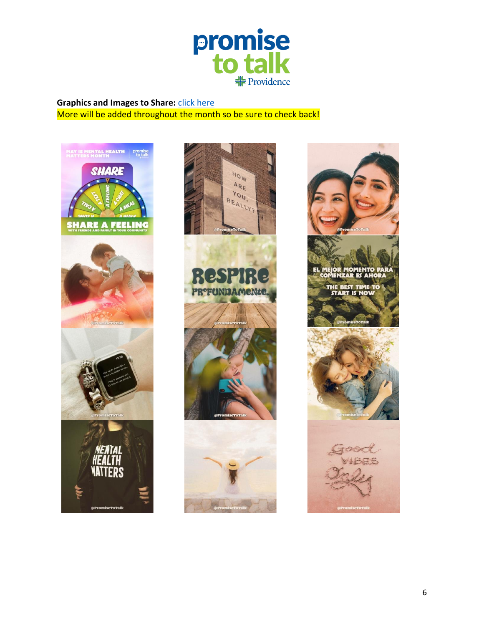

### **Graphics and Images to Share: [click here](https://f224d5ec-959e-4842-8529-fc805ad7662d.filesusr.com/archives/dba8ab_d15c37dfb8a245f7b713108e0c2671ff.zip?dn=Social%20Media%20Images.zip)** More will be added throughout the month so be sure to check back!





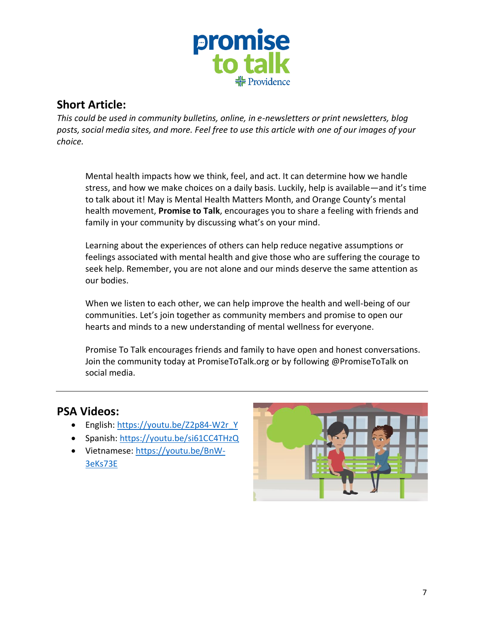

# **Short Article:**

*This could be used in community bulletins, online, in e-newsletters or print newsletters, blog posts, social media sites, and more. Feel free to use this article with one of our images of your choice.*

Mental health impacts how we think, feel, and act. It can determine how we handle stress, and how we make choices on a daily basis. Luckily, help is available—and it's time to talk about it! May is Mental Health Matters Month, and Orange County's mental health movement, **Promise to Talk**, encourages you to share a feeling with friends and family in your community by discussing what's on your mind.

Learning about the experiences of others can help reduce negative assumptions or feelings associated with mental health and give those who are suffering the courage to seek help. Remember, you are not alone and our minds deserve the same attention as our bodies.

When we listen to each other, we can help improve the health and well-being of our communities. Let's join together as community members and promise to open our hearts and minds to a new understanding of mental wellness for everyone.

Promise To Talk encourages friends and family to have open and honest conversations. Join the community today at PromiseToTalk.org or by following @PromiseToTalk on social media.

## **PSA Videos:**

- English: [https://youtu.be/Z2p84-W2r\\_Y](https://youtu.be/Z2p84-W2r_Y)
- Spanish:<https://youtu.be/si61CC4THzQ>
- Vietnamese: [https://youtu.be/BnW-](https://youtu.be/BnW-3eKs73E)[3eKs73E](https://youtu.be/BnW-3eKs73E)